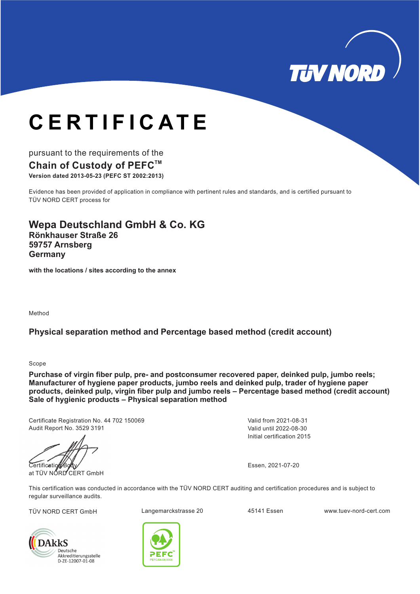

# **CERTIFICATE**

#### pursuant to the requirements of the **Chain of Custody of PEFCTM**

**Version dated 2013-05-23 (PEFC ST 2002:2013)**

Evidence has been provided of application in compliance with pertinent rules and standards, and is certified pursuant to TÜV NORD CERT process for

**Wepa Deutschland GmbH & Co. KG Rönkhauser Straße 26 59757 Arnsberg Germany**

**with the locations / sites according to the annex**

Method

#### **Physical separation method and Percentage based method (credit account)**

Scope

**Purchase of virgin fiber pulp, pre- and postconsumer recovered paper, deinked pulp, jumbo reels; Manufacturer of hygiene paper products, jumbo reels and deinked pulp, trader of hygiene paper products, deinked pulp, virgin fiber pulp and jumbo reels – Percentage based method (credit account) Sale of hygienic products – Physical separation method**

Certificate Registration No. 44 702 150069 Audit Report No. 3529 3191

Certification at TÜV NŐRD CERT GmbH

Initial certification 2015 Valid until 2022-08-30 Valid from 2021-08-31

Essen, 2021-07-20

This certification was conducted in accordance with the TÜV NORD CERT auditing and certification procedures and is subject to regular surveillance audits.





TÜV NORD CERT GmbH Langemarckstrasse 20 45141 Essen www.tuev-nord-cert.com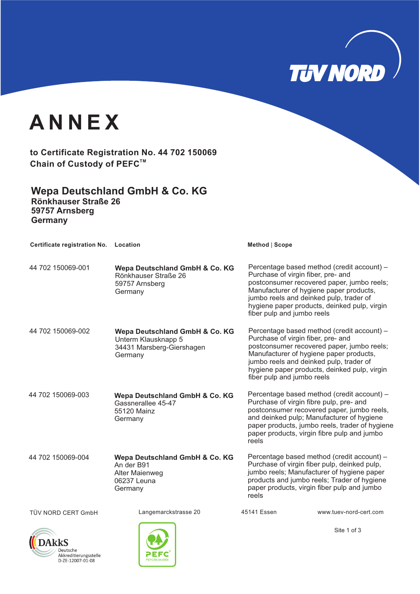

### **ANNEX**

**to Certificate Registration No. 44 702 150069 Chain of Custody of PEFCTM**

**Wepa Deutschland GmbH & Co. KG Rönkhauser Straße 26 59757 Arnsberg Germany**

| Certificate registration No. Location |                                                                                               | Method   Scope                                                                                                                                                                                                                                                                                     |
|---------------------------------------|-----------------------------------------------------------------------------------------------|----------------------------------------------------------------------------------------------------------------------------------------------------------------------------------------------------------------------------------------------------------------------------------------------------|
| 44 702 150069-001                     | Wepa Deutschland GmbH & Co. KG<br>Rönkhauser Straße 26<br>59757 Arnsberg<br>Germany           | Percentage based method (credit account) -<br>Purchase of virgin fiber, pre- and<br>postconsumer recovered paper, jumbo reels;<br>Manufacturer of hygiene paper products,<br>jumbo reels and deinked pulp, trader of<br>hygiene paper products, deinked pulp, virgin<br>fiber pulp and jumbo reels |
| 44 702 150069-002                     | Wepa Deutschland GmbH & Co. KG<br>Unterm Klausknapp 5<br>34431 Marsberg-Giershagen<br>Germany | Percentage based method (credit account) -<br>Purchase of virgin fiber, pre- and<br>postconsumer recovered paper, jumbo reels;<br>Manufacturer of hygiene paper products,<br>jumbo reels and deinked pulp, trader of<br>hygiene paper products, deinked pulp, virgin<br>fiber pulp and jumbo reels |
| 44 702 150069-003                     | Wepa Deutschland GmbH & Co. KG<br>Gassnerallee 45-47<br>55120 Mainz<br>Germany                | Percentage based method (credit account) -<br>Purchase of virgin fibre pulp, pre- and<br>postconsumer recovered paper, jumbo reels,<br>and deinked pulp; Manufacturer of hygiene<br>paper products, jumbo reels, trader of hygiene<br>paper products, virgin fibre pulp and jumbo<br>reels         |
| 44 702 150069-004                     | Wepa Deutschland GmbH & Co. KG<br>An der B91<br>Alter Maienweg<br>06237 Leuna<br>Germany      | Percentage based method (credit account) -<br>Purchase of virgin fiber pulp, deinked pulp,<br>jumbo reels; Manufacturer of hygiene paper<br>products and jumbo reels; Trader of hygiene<br>paper products, virgin fiber pulp and jumbo<br>reels                                                    |
| TÜV NORD CERT GmbH                    | Langemarckstrasse 20                                                                          | 45141 Essen<br>www.tuev-nord-cert.com                                                                                                                                                                                                                                                              |
|                                       |                                                                                               | $0.1 - 4 - 50$                                                                                                                                                                                                                                                                                     |





Site 1 of 3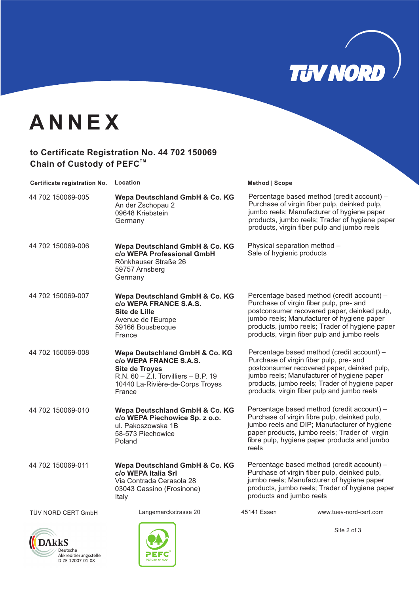

## **ANNEX**

#### **to Certificate Registration No. 44 702 150069 Chain of Custody of PEFCTM**

| Certificate registration No. Location |                                                                                                                                                                             | Method   Scope                                                                                                                                                                                                                                                                      |
|---------------------------------------|-----------------------------------------------------------------------------------------------------------------------------------------------------------------------------|-------------------------------------------------------------------------------------------------------------------------------------------------------------------------------------------------------------------------------------------------------------------------------------|
| 44 702 150069-005                     | Wepa Deutschland GmbH & Co. KG<br>An der Zschopau 2<br>09648 Kriebstein<br>Germany                                                                                          | Percentage based method (credit account) -<br>Purchase of virgin fiber pulp, deinked pulp,<br>jumbo reels; Manufacturer of hygiene paper<br>products, jumbo reels; Trader of hygiene paper<br>products, virgin fiber pulp and jumbo reels                                           |
| 44 702 150069-006                     | Wepa Deutschland GmbH & Co. KG<br>c/o WEPA Professional GmbH<br>Rönkhauser Straße 26<br>59757 Arnsberg<br>Germany                                                           | Physical separation method -<br>Sale of hygienic products                                                                                                                                                                                                                           |
| 44 702 150069-007                     | Wepa Deutschland GmbH & Co. KG<br>c/o WEPA FRANCE S.A.S.<br>Site de Lille<br>Avenue de l'Europe<br>59166 Bousbecque<br>France                                               | Percentage based method (credit account) -<br>Purchase of virgin fiber pulp, pre- and<br>postconsumer recovered paper, deinked pulp,<br>jumbo reels; Manufacturer of hygiene paper<br>products, jumbo reels; Trader of hygiene paper<br>products, virgin fiber pulp and jumbo reels |
| 44 702 150069-008                     | Wepa Deutschland GmbH & Co. KG<br>c/o WEPA FRANCE S.A.S.<br><b>Site de Troyes</b><br>R.N. $60 - Z.I.$ Torvilliers $- B.P.$ 19<br>10440 La-Rivière-de-Corps Troyes<br>France | Percentage based method (credit account) -<br>Purchase of virgin fiber pulp, pre- and<br>postconsumer recovered paper, deinked pulp,<br>jumbo reels; Manufacturer of hygiene paper<br>products, jumbo reels; Trader of hygiene paper<br>products, virgin fiber pulp and jumbo reels |
| 44 702 150069-010                     | Wepa Deutschland GmbH & Co. KG<br>c/o WEPA Piechowice Sp. z o.o.<br>ul. Pakoszowska 1B<br>58-573 Piechowice<br>Poland                                                       | Percentage based method (credit account) -<br>Purchase of virgin fibre pulp, deinked pulp,<br>jumbo reels and DIP; Manufacturer of hygiene<br>paper products, jumbo reels; Trader of virgin<br>fibre pulp, hygiene paper products and jumbo<br>reels                                |
| 44 702 150069-011                     | Wepa Deutschland GmbH & Co. KG<br>c/o WEPA Italia Srl<br>Via Contrada Cerasola 28<br>03043 Cassino (Frosinone)<br>Italy                                                     | Percentage based method (credit account) -<br>Purchase of virgin fiber pulp, deinked pulp,<br>jumbo reels; Manufacturer of hygiene paper<br>products, jumbo reels; Trader of hygiene paper<br>products and jumbo reels                                                              |
| TÜV NORD CERT GmbH                    | Langemarckstrasse 20                                                                                                                                                        | 45141 Essen<br>www.tuev-nord-cert.com                                                                                                                                                                                                                                               |
|                                       |                                                                                                                                                                             | Site 2 of 3                                                                                                                                                                                                                                                                         |